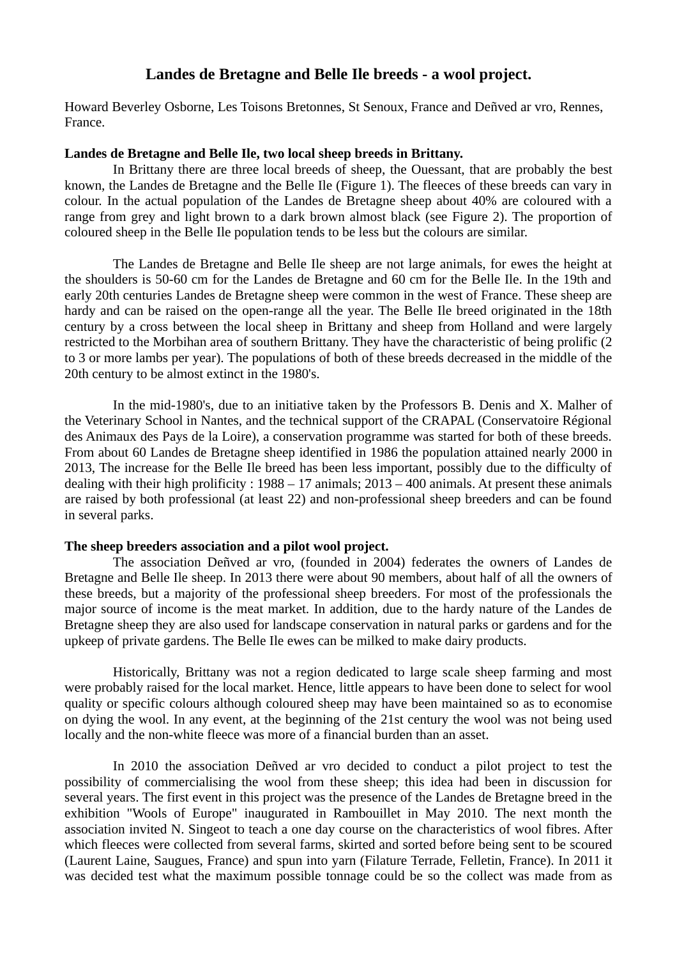## **Landes de Bretagne and Belle Ile breeds - a wool project.**

Howard Beverley Osborne, Les Toisons Bretonnes, St Senoux, France and Deñved ar vro, Rennes, France.

## **Landes de Bretagne and Belle Ile, two local sheep breeds in Brittany.**

In Brittany there are three local breeds of sheep, the Ouessant, that are probably the best known, the Landes de Bretagne and the Belle Ile (Figure 1). The fleeces of these breeds can vary in colour. In the actual population of the Landes de Bretagne sheep about 40% are coloured with a range from grey and light brown to a dark brown almost black (see Figure 2). The proportion of coloured sheep in the Belle Ile population tends to be less but the colours are similar.

The Landes de Bretagne and Belle Ile sheep are not large animals, for ewes the height at the shoulders is 50-60 cm for the Landes de Bretagne and 60 cm for the Belle Ile. In the 19th and early 20th centuries Landes de Bretagne sheep were common in the west of France. These sheep are hardy and can be raised on the open-range all the year. The Belle Ile breed originated in the 18th century by a cross between the local sheep in Brittany and sheep from Holland and were largely restricted to the Morbihan area of southern Brittany. They have the characteristic of being prolific (2 to 3 or more lambs per year). The populations of both of these breeds decreased in the middle of the 20th century to be almost extinct in the 1980's.

In the mid-1980's, due to an initiative taken by the Professors B. Denis and X. Malher of the Veterinary School in Nantes, and the technical support of the CRAPAL (Conservatoire Régional des Animaux des Pays de la Loire), a conservation programme was started for both of these breeds. From about 60 Landes de Bretagne sheep identified in 1986 the population attained nearly 2000 in 2013, The increase for the Belle Ile breed has been less important, possibly due to the difficulty of dealing with their high prolificity : 1988 – 17 animals; 2013 – 400 animals. At present these animals are raised by both professional (at least 22) and non-professional sheep breeders and can be found in several parks.

## **The sheep breeders association and a pilot wool project.**

The association Deñved ar vro, (founded in 2004) federates the owners of Landes de Bretagne and Belle Ile sheep. In 2013 there were about 90 members, about half of all the owners of these breeds, but a majority of the professional sheep breeders. For most of the professionals the major source of income is the meat market. In addition, due to the hardy nature of the Landes de Bretagne sheep they are also used for landscape conservation in natural parks or gardens and for the upkeep of private gardens. The Belle Ile ewes can be milked to make dairy products.

Historically, Brittany was not a region dedicated to large scale sheep farming and most were probably raised for the local market. Hence, little appears to have been done to select for wool quality or specific colours although coloured sheep may have been maintained so as to economise on dying the wool. In any event, at the beginning of the 21st century the wool was not being used locally and the non-white fleece was more of a financial burden than an asset.

In 2010 the association Deñved ar vro decided to conduct a pilot project to test the possibility of commercialising the wool from these sheep; this idea had been in discussion for several years. The first event in this project was the presence of the Landes de Bretagne breed in the exhibition "Wools of Europe" inaugurated in Rambouillet in May 2010. The next month the association invited N. Singeot to teach a one day course on the characteristics of wool fibres. After which fleeces were collected from several farms, skirted and sorted before being sent to be scoured (Laurent Laine, Saugues, France) and spun into yarn (Filature Terrade, Felletin, France). In 2011 it was decided test what the maximum possible tonnage could be so the collect was made from as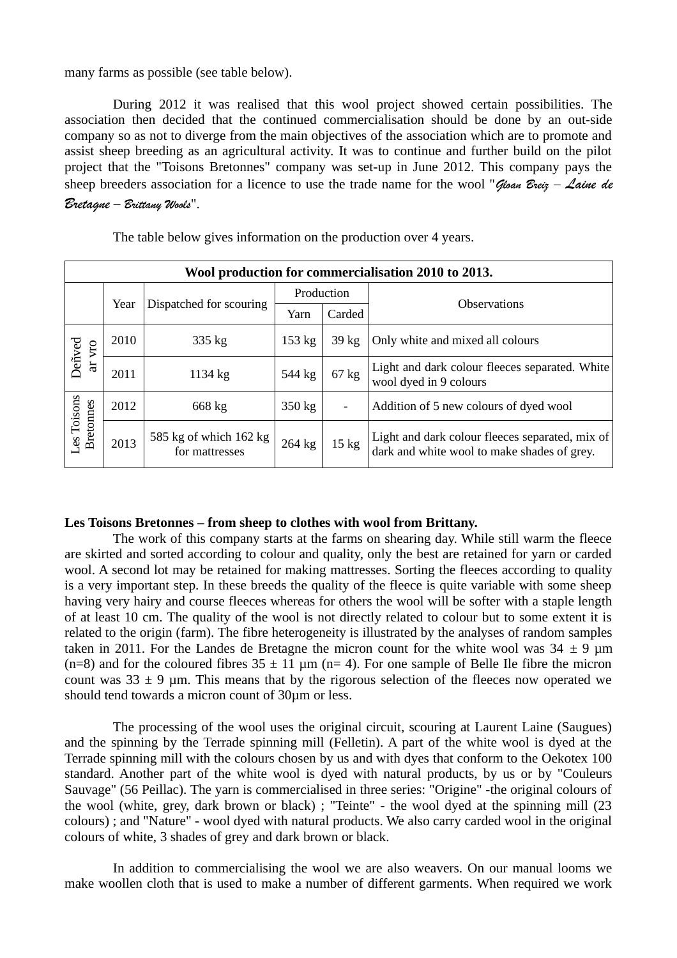many farms as possible (see table below).

During 2012 it was realised that this wool project showed certain possibilities. The association then decided that the continued commercialisation should be done by an out-side company so as not to diverge from the main objectives of the association which are to promote and assist sheep breeding as an agricultural activity. It was to continue and further build on the pilot project that the "Toisons Bretonnes" company was set-up in June 2012. This company pays the sheep breeders association for a licence to use the trade name for the wool "Gloan Breiz – Laine de Bretagne – Brittany Wools".

| Wool production for commercialisation 2010 to 2013. |      |                                          |            |                  |                                                                                                |
|-----------------------------------------------------|------|------------------------------------------|------------|------------------|------------------------------------------------------------------------------------------------|
|                                                     | Year | Dispatched for scouring                  | Production |                  | <b>Observations</b>                                                                            |
|                                                     |      |                                          | Yarn       | Carded           |                                                                                                |
| Deñved<br>VTO<br>$\overline{a}$                     | 2010 | 335 kg                                   | 153 kg     | 39 <sub>kg</sub> | Only white and mixed all colours                                                               |
|                                                     | 2011 | 1134 kg                                  | 544 kg     | $67$ kg          | Light and dark colour fleeces separated. White<br>wool dyed in 9 colours                       |
| Les Toisons<br><b>Bretonnes</b>                     | 2012 | 668 kg                                   | 350 kg     | -                | Addition of 5 new colours of dyed wool                                                         |
|                                                     | 2013 | 585 kg of which 162 kg<br>for mattresses | 264 kg     | $15 \text{ kg}$  | Light and dark colour fleeces separated, mix of<br>dark and white wool to make shades of grey. |

The table below gives information on the production over 4 years.

## **Les Toisons Bretonnes – from sheep to clothes with wool from Brittany.**

The work of this company starts at the farms on shearing day. While still warm the fleece are skirted and sorted according to colour and quality, only the best are retained for yarn or carded wool. A second lot may be retained for making mattresses. Sorting the fleeces according to quality is a very important step. In these breeds the quality of the fleece is quite variable with some sheep having very hairy and course fleeces whereas for others the wool will be softer with a staple length of at least 10 cm. The quality of the wool is not directly related to colour but to some extent it is related to the origin (farm). The fibre heterogeneity is illustrated by the analyses of random samples taken in 2011. For the Landes de Bretagne the micron count for the white wool was  $34 \pm 9$  µm (n=8) and for the coloured fibres  $35 \pm 11$  µm (n= 4). For one sample of Belle Ile fibre the micron count was  $33 \pm 9$  µm. This means that by the rigorous selection of the fleeces now operated we should tend towards a micron count of 30µm or less.

The processing of the wool uses the original circuit, scouring at Laurent Laine (Saugues) and the spinning by the Terrade spinning mill (Felletin). A part of the white wool is dyed at the Terrade spinning mill with the colours chosen by us and with dyes that conform to the Oekotex 100 standard. Another part of the white wool is dyed with natural products, by us or by "Couleurs Sauvage" (56 Peillac). The yarn is commercialised in three series: "Origine" -the original colours of the wool (white, grey, dark brown or black) ; "Teinte" - the wool dyed at the spinning mill (23 colours) ; and "Nature" - wool dyed with natural products. We also carry carded wool in the original colours of white, 3 shades of grey and dark brown or black.

In addition to commercialising the wool we are also weavers. On our manual looms we make woollen cloth that is used to make a number of different garments. When required we work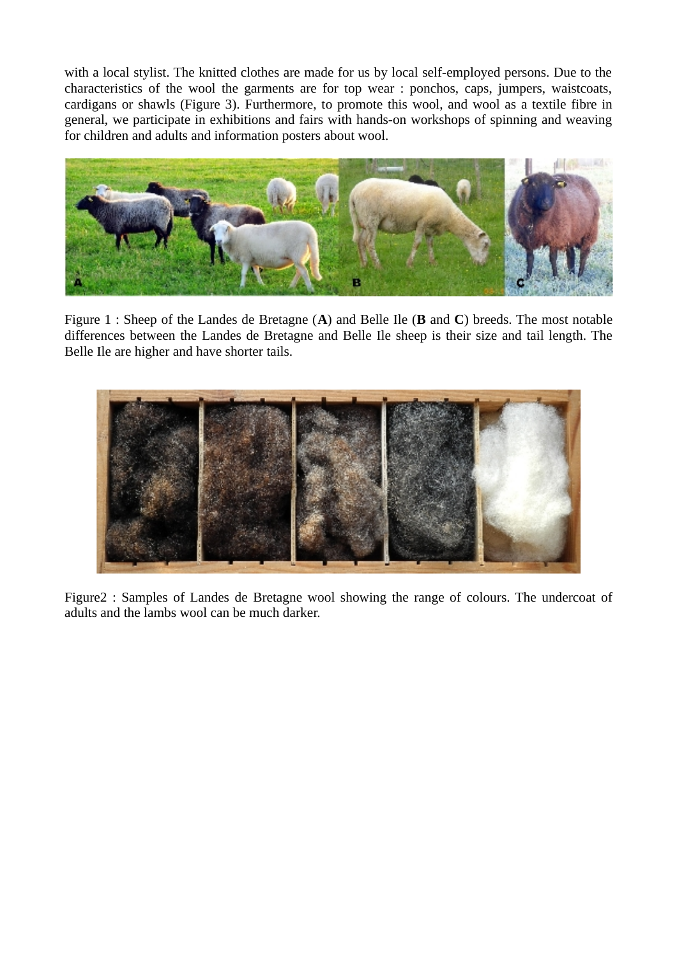with a local stylist. The knitted clothes are made for us by local self-employed persons. Due to the characteristics of the wool the garments are for top wear : ponchos, caps, jumpers, waistcoats, cardigans or shawls (Figure 3). Furthermore, to promote this wool, and wool as a textile fibre in general, we participate in exhibitions and fairs with hands-on workshops of spinning and weaving for children and adults and information posters about wool.



Figure 1 : Sheep of the Landes de Bretagne (**A**) and Belle Ile (**B** and **C**) breeds. The most notable differences between the Landes de Bretagne and Belle Ile sheep is their size and tail length. The Belle Ile are higher and have shorter tails.



Figure2 : Samples of Landes de Bretagne wool showing the range of colours. The undercoat of adults and the lambs wool can be much darker.